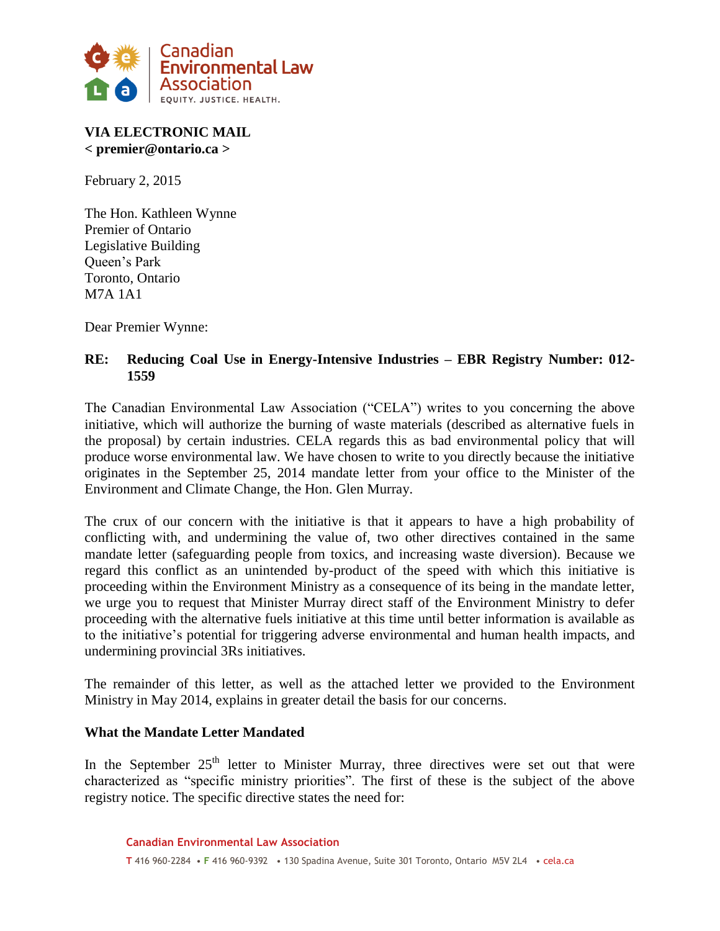

# **VIA ELECTRONIC MAIL < premier@ontario.ca >**

February 2, 2015

The Hon. Kathleen Wynne Premier of Ontario Legislative Building Queen's Park Toronto, Ontario M7A 1A1

Dear Premier Wynne:

# **RE: Reducing Coal Use in Energy-Intensive Industries – EBR Registry Number: 012- 1559**

The Canadian Environmental Law Association ("CELA") writes to you concerning the above initiative, which will authorize the burning of waste materials (described as alternative fuels in the proposal) by certain industries. CELA regards this as bad environmental policy that will produce worse environmental law. We have chosen to write to you directly because the initiative originates in the September 25, 2014 mandate letter from your office to the Minister of the Environment and Climate Change, the Hon. Glen Murray.

The crux of our concern with the initiative is that it appears to have a high probability of conflicting with, and undermining the value of, two other directives contained in the same mandate letter (safeguarding people from toxics, and increasing waste diversion). Because we regard this conflict as an unintended by-product of the speed with which this initiative is proceeding within the Environment Ministry as a consequence of its being in the mandate letter, we urge you to request that Minister Murray direct staff of the Environment Ministry to defer proceeding with the alternative fuels initiative at this time until better information is available as to the initiative's potential for triggering adverse environmental and human health impacts, and undermining provincial 3Rs initiatives.

The remainder of this letter, as well as the attached letter we provided to the Environment Ministry in May 2014, explains in greater detail the basis for our concerns.

#### **What the Mandate Letter Mandated**

In the September  $25<sup>th</sup>$  letter to Minister Murray, three directives were set out that were characterized as "specific ministry priorities". The first of these is the subject of the above registry notice. The specific directive states the need for: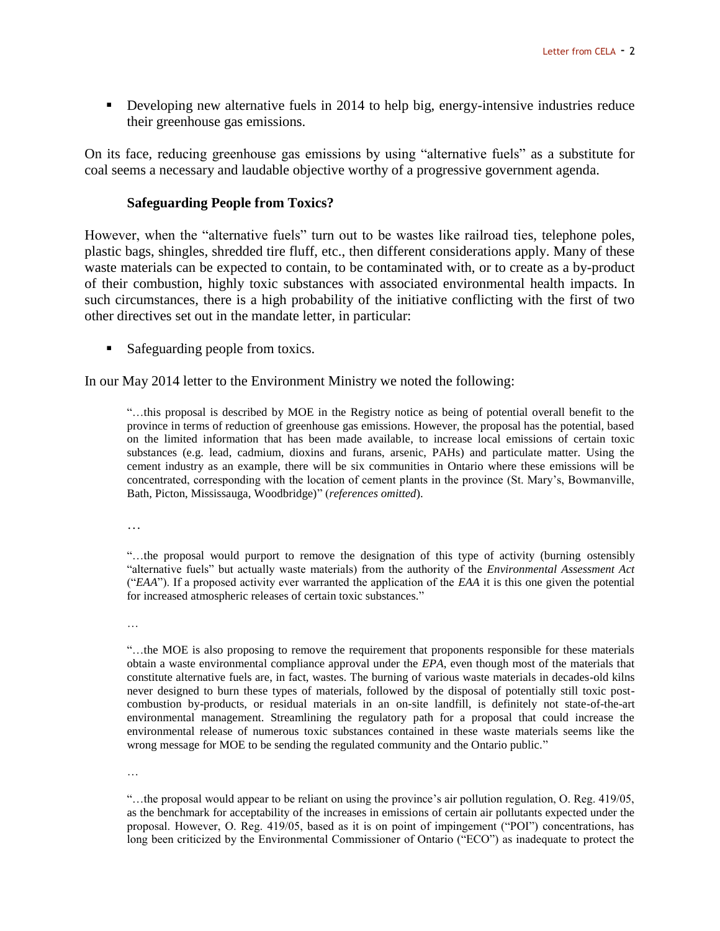Developing new alternative fuels in 2014 to help big, energy-intensive industries reduce their greenhouse gas emissions.

On its face, reducing greenhouse gas emissions by using "alternative fuels" as a substitute for coal seems a necessary and laudable objective worthy of a progressive government agenda.

#### **Safeguarding People from Toxics?**

However, when the "alternative fuels" turn out to be wastes like railroad ties, telephone poles, plastic bags, shingles, shredded tire fluff, etc., then different considerations apply. Many of these waste materials can be expected to contain, to be contaminated with, or to create as a by-product of their combustion, highly toxic substances with associated environmental health impacts. In such circumstances, there is a high probability of the initiative conflicting with the first of two other directives set out in the mandate letter, in particular:

Safeguarding people from toxics.

In our May 2014 letter to the Environment Ministry we noted the following:

"…this proposal is described by MOE in the Registry notice as being of potential overall benefit to the province in terms of reduction of greenhouse gas emissions. However, the proposal has the potential, based on the limited information that has been made available, to increase local emissions of certain toxic substances (e.g. lead, cadmium, dioxins and furans, arsenic, PAHs) and particulate matter. Using the cement industry as an example, there will be six communities in Ontario where these emissions will be concentrated, corresponding with the location of cement plants in the province (St. Mary's, Bowmanville, Bath, Picton, Mississauga, Woodbridge)" (*references omitted*).

…

"…the proposal would purport to remove the designation of this type of activity (burning ostensibly "alternative fuels" but actually waste materials) from the authority of the *Environmental Assessment Act*  ("*EAA*"). If a proposed activity ever warranted the application of the *EAA* it is this one given the potential for increased atmospheric releases of certain toxic substances."

…

"…the MOE is also proposing to remove the requirement that proponents responsible for these materials obtain a waste environmental compliance approval under the *EPA*, even though most of the materials that constitute alternative fuels are, in fact, wastes. The burning of various waste materials in decades-old kilns never designed to burn these types of materials, followed by the disposal of potentially still toxic postcombustion by-products, or residual materials in an on-site landfill, is definitely not state-of-the-art environmental management. Streamlining the regulatory path for a proposal that could increase the environmental release of numerous toxic substances contained in these waste materials seems like the wrong message for MOE to be sending the regulated community and the Ontario public."

…

"…the proposal would appear to be reliant on using the province's air pollution regulation, O. Reg. 419/05, as the benchmark for acceptability of the increases in emissions of certain air pollutants expected under the proposal. However, O. Reg. 419/05, based as it is on point of impingement ("POI") concentrations, has long been criticized by the Environmental Commissioner of Ontario ("ECO") as inadequate to protect the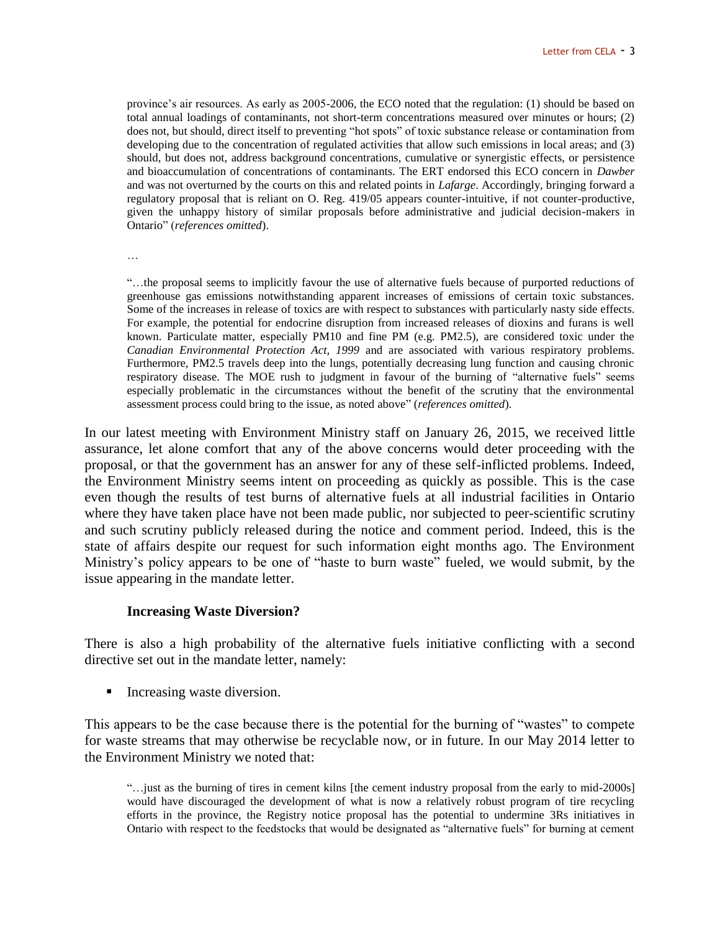province's air resources. As early as 2005-2006, the ECO noted that the regulation: (1) should be based on total annual loadings of contaminants, not short-term concentrations measured over minutes or hours; (2) does not, but should, direct itself to preventing "hot spots" of toxic substance release or contamination from developing due to the concentration of regulated activities that allow such emissions in local areas; and (3) should, but does not, address background concentrations, cumulative or synergistic effects, or persistence and bioaccumulation of concentrations of contaminants. The ERT endorsed this ECO concern in *Dawber* and was not overturned by the courts on this and related points in *Lafarge*. Accordingly, bringing forward a regulatory proposal that is reliant on O. Reg. 419/05 appears counter-intuitive, if not counter-productive, given the unhappy history of similar proposals before administrative and judicial decision-makers in Ontario" (*references omitted*).

…

"…the proposal seems to implicitly favour the use of alternative fuels because of purported reductions of greenhouse gas emissions notwithstanding apparent increases of emissions of certain toxic substances. Some of the increases in release of toxics are with respect to substances with particularly nasty side effects. For example, the potential for endocrine disruption from increased releases of dioxins and furans is well known. Particulate matter, especially PM10 and fine PM (e.g. PM2.5), are considered toxic under the *Canadian Environmental Protection Act, 1999* and are associated with various respiratory problems. Furthermore, PM2.5 travels deep into the lungs, potentially decreasing lung function and causing chronic respiratory disease. The MOE rush to judgment in favour of the burning of "alternative fuels" seems especially problematic in the circumstances without the benefit of the scrutiny that the environmental assessment process could bring to the issue, as noted above" (*references omitted*).

In our latest meeting with Environment Ministry staff on January 26, 2015, we received little assurance, let alone comfort that any of the above concerns would deter proceeding with the proposal, or that the government has an answer for any of these self-inflicted problems. Indeed, the Environment Ministry seems intent on proceeding as quickly as possible. This is the case even though the results of test burns of alternative fuels at all industrial facilities in Ontario where they have taken place have not been made public, nor subjected to peer-scientific scrutiny and such scrutiny publicly released during the notice and comment period. Indeed, this is the state of affairs despite our request for such information eight months ago. The Environment Ministry's policy appears to be one of "haste to burn waste" fueled, we would submit, by the issue appearing in the mandate letter.

#### **Increasing Waste Diversion?**

There is also a high probability of the alternative fuels initiative conflicting with a second directive set out in the mandate letter, namely:

**Increasing waste diversion.** 

This appears to be the case because there is the potential for the burning of "wastes" to compete for waste streams that may otherwise be recyclable now, or in future. In our May 2014 letter to the Environment Ministry we noted that:

<sup>&</sup>quot;…just as the burning of tires in cement kilns [the cement industry proposal from the early to mid-2000s] would have discouraged the development of what is now a relatively robust program of tire recycling efforts in the province, the Registry notice proposal has the potential to undermine 3Rs initiatives in Ontario with respect to the feedstocks that would be designated as "alternative fuels" for burning at cement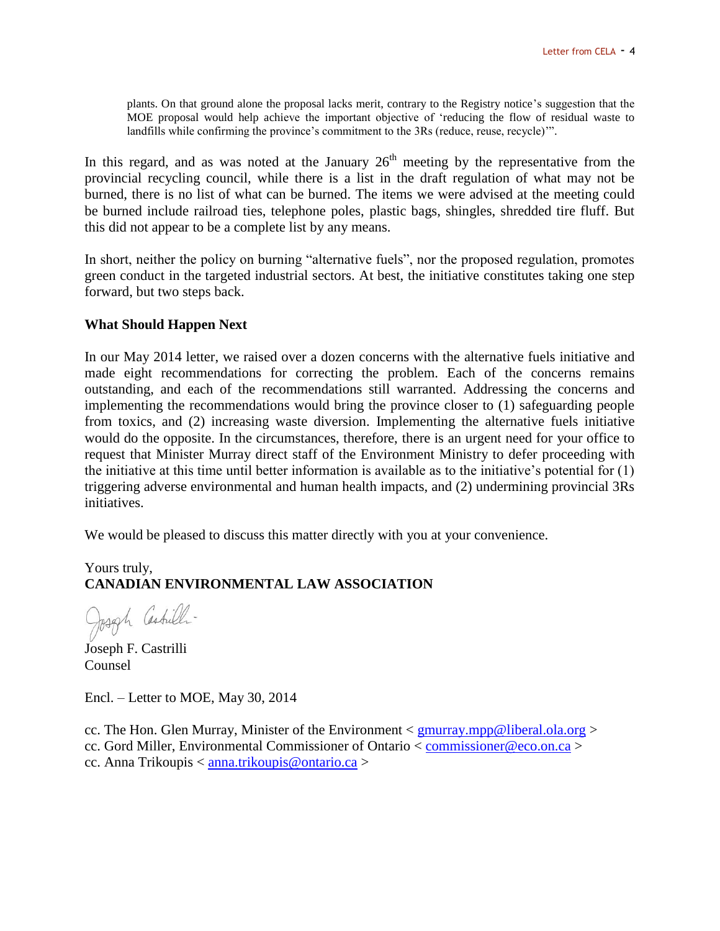plants. On that ground alone the proposal lacks merit, contrary to the Registry notice's suggestion that the MOE proposal would help achieve the important objective of 'reducing the flow of residual waste to landfills while confirming the province's commitment to the 3Rs (reduce, reuse, recycle)'".

In this regard, and as was noted at the January  $26<sup>th</sup>$  meeting by the representative from the provincial recycling council, while there is a list in the draft regulation of what may not be burned, there is no list of what can be burned. The items we were advised at the meeting could be burned include railroad ties, telephone poles, plastic bags, shingles, shredded tire fluff. But this did not appear to be a complete list by any means.

In short, neither the policy on burning "alternative fuels", nor the proposed regulation, promotes green conduct in the targeted industrial sectors. At best, the initiative constitutes taking one step forward, but two steps back.

#### **What Should Happen Next**

In our May 2014 letter, we raised over a dozen concerns with the alternative fuels initiative and made eight recommendations for correcting the problem. Each of the concerns remains outstanding, and each of the recommendations still warranted. Addressing the concerns and implementing the recommendations would bring the province closer to (1) safeguarding people from toxics, and (2) increasing waste diversion. Implementing the alternative fuels initiative would do the opposite. In the circumstances, therefore, there is an urgent need for your office to request that Minister Murray direct staff of the Environment Ministry to defer proceeding with the initiative at this time until better information is available as to the initiative's potential for (1) triggering adverse environmental and human health impacts, and (2) undermining provincial 3Rs initiatives.

We would be pleased to discuss this matter directly with you at your convenience.

# Yours truly, **CANADIAN ENVIRONMENTAL LAW ASSOCIATION**

Joseph Castrilli-

Joseph F. Castrilli Counsel

Encl. – Letter to MOE, May 30, 2014

cc. The Hon. Glen Murray, Minister of the Environment  $\langle$  [gmurray.mpp@liberal.ola.org](mailto:gmurray.mpp@liberal.ola.org)  $\rangle$ cc. Gord Miller, Environmental Commissioner of Ontario < [commissioner@eco.on.ca](mailto:commissioner@eco.on.ca) > cc. Anna Trikoupis < [anna.trikoupis@ontario.ca](mailto:anna.trikoupis@ontario.ca) >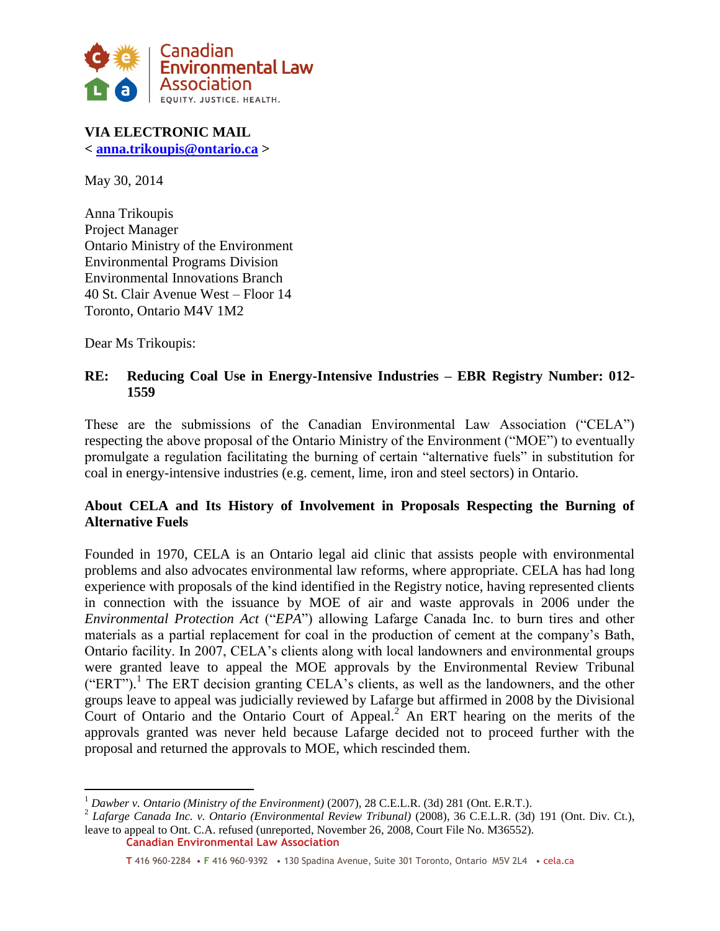

**VIA ELECTRONIC MAIL < [anna.trikoupis@ontario.ca](mailto:anna.trikoupis@ontario.ca) >**

May 30, 2014

Anna Trikoupis Project Manager Ontario Ministry of the Environment Environmental Programs Division Environmental Innovations Branch 40 St. Clair Avenue West – Floor 14 Toronto, Ontario M4V 1M2

Dear Ms Trikoupis:

 $\overline{a}$ 

## **RE: Reducing Coal Use in Energy-Intensive Industries – EBR Registry Number: 012- 1559**

These are the submissions of the Canadian Environmental Law Association ("CELA") respecting the above proposal of the Ontario Ministry of the Environment ("MOE") to eventually promulgate a regulation facilitating the burning of certain "alternative fuels" in substitution for coal in energy-intensive industries (e.g. cement, lime, iron and steel sectors) in Ontario.

# **About CELA and Its History of Involvement in Proposals Respecting the Burning of Alternative Fuels**

Founded in 1970, CELA is an Ontario legal aid clinic that assists people with environmental problems and also advocates environmental law reforms, where appropriate. CELA has had long experience with proposals of the kind identified in the Registry notice, having represented clients in connection with the issuance by MOE of air and waste approvals in 2006 under the *Environmental Protection Act* ("*EPA*") allowing Lafarge Canada Inc. to burn tires and other materials as a partial replacement for coal in the production of cement at the company's Bath, Ontario facility. In 2007, CELA's clients along with local landowners and environmental groups were granted leave to appeal the MOE approvals by the Environmental Review Tribunal  $("ERT")$ .<sup>1</sup> The ERT decision granting CELA's clients, as well as the landowners, and the other groups leave to appeal was judicially reviewed by Lafarge but affirmed in 2008 by the Divisional Court of Ontario and the Ontario Court of Appeal. <sup>2</sup> An ERT hearing on the merits of the approvals granted was never held because Lafarge decided not to proceed further with the proposal and returned the approvals to MOE, which rescinded them.

<sup>&</sup>lt;sup>1</sup> Dawber v. Ontario (Ministry of the Environment) (2007), 28 C.E.L.R. (3d) 281 (Ont. E.R.T.).

**Canadian Environmental Law Association** 2 *Lafarge Canada Inc. v. Ontario (Environmental Review Tribunal)* (2008), 36 C.E.L.R. (3d) 191 (Ont. Div. Ct.), leave to appeal to Ont. C.A. refused (unreported, November 26, 2008, Court File No. M36552).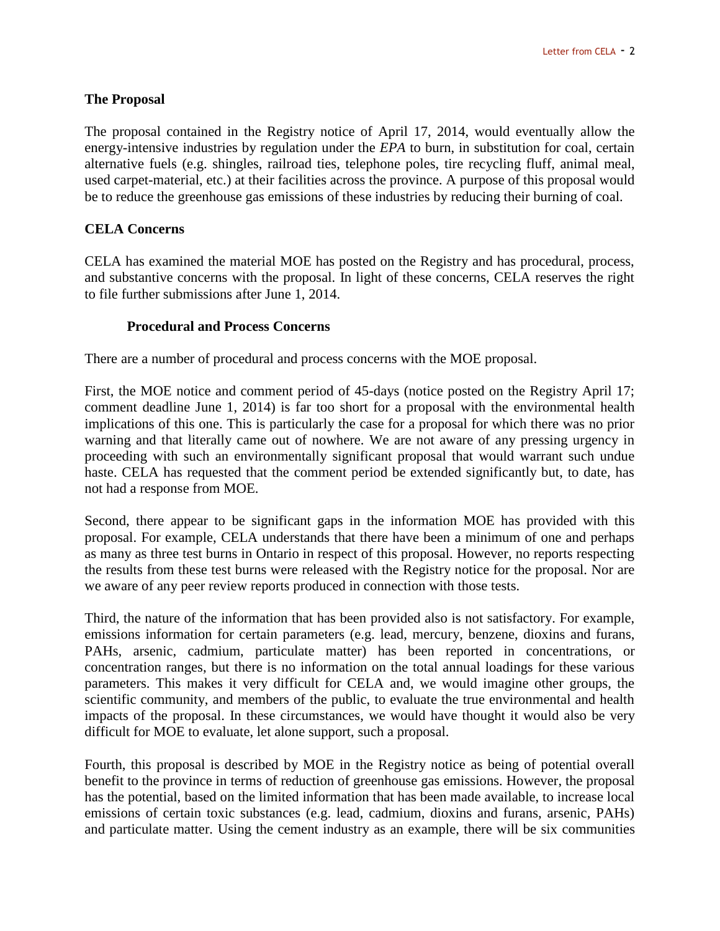# **The Proposal**

The proposal contained in the Registry notice of April 17, 2014, would eventually allow the energy-intensive industries by regulation under the *EPA* to burn, in substitution for coal, certain alternative fuels (e.g. shingles, railroad ties, telephone poles, tire recycling fluff, animal meal, used carpet-material, etc.) at their facilities across the province. A purpose of this proposal would be to reduce the greenhouse gas emissions of these industries by reducing their burning of coal.

#### **CELA Concerns**

CELA has examined the material MOE has posted on the Registry and has procedural, process, and substantive concerns with the proposal. In light of these concerns, CELA reserves the right to file further submissions after June 1, 2014.

#### **Procedural and Process Concerns**

There are a number of procedural and process concerns with the MOE proposal.

First, the MOE notice and comment period of 45-days (notice posted on the Registry April 17; comment deadline June 1, 2014) is far too short for a proposal with the environmental health implications of this one. This is particularly the case for a proposal for which there was no prior warning and that literally came out of nowhere. We are not aware of any pressing urgency in proceeding with such an environmentally significant proposal that would warrant such undue haste. CELA has requested that the comment period be extended significantly but, to date, has not had a response from MOE.

Second, there appear to be significant gaps in the information MOE has provided with this proposal. For example, CELA understands that there have been a minimum of one and perhaps as many as three test burns in Ontario in respect of this proposal. However, no reports respecting the results from these test burns were released with the Registry notice for the proposal. Nor are we aware of any peer review reports produced in connection with those tests.

Third, the nature of the information that has been provided also is not satisfactory. For example, emissions information for certain parameters (e.g. lead, mercury, benzene, dioxins and furans, PAHs, arsenic, cadmium, particulate matter) has been reported in concentrations, or concentration ranges, but there is no information on the total annual loadings for these various parameters. This makes it very difficult for CELA and, we would imagine other groups, the scientific community, and members of the public, to evaluate the true environmental and health impacts of the proposal. In these circumstances, we would have thought it would also be very difficult for MOE to evaluate, let alone support, such a proposal.

Fourth, this proposal is described by MOE in the Registry notice as being of potential overall benefit to the province in terms of reduction of greenhouse gas emissions. However, the proposal has the potential, based on the limited information that has been made available, to increase local emissions of certain toxic substances (e.g. lead, cadmium, dioxins and furans, arsenic, PAHs) and particulate matter. Using the cement industry as an example, there will be six communities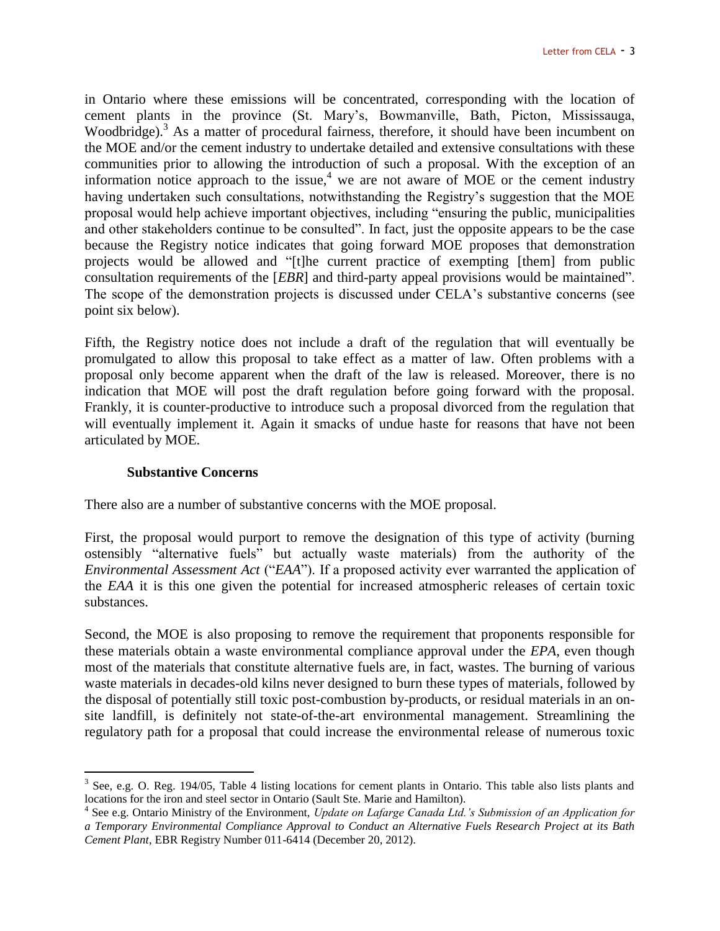in Ontario where these emissions will be concentrated, corresponding with the location of cement plants in the province (St. Mary's, Bowmanville, Bath, Picton, Mississauga, Woodbridge).<sup>3</sup> As a matter of procedural fairness, therefore, it should have been incumbent on the MOE and/or the cement industry to undertake detailed and extensive consultations with these communities prior to allowing the introduction of such a proposal. With the exception of an information notice approach to the issue,<sup>4</sup> we are not aware of MOE or the cement industry having undertaken such consultations, notwithstanding the Registry's suggestion that the MOE proposal would help achieve important objectives, including "ensuring the public, municipalities and other stakeholders continue to be consulted". In fact, just the opposite appears to be the case because the Registry notice indicates that going forward MOE proposes that demonstration projects would be allowed and "[t]he current practice of exempting [them] from public consultation requirements of the [*EBR*] and third-party appeal provisions would be maintained". The scope of the demonstration projects is discussed under CELA's substantive concerns (see point six below).

Fifth, the Registry notice does not include a draft of the regulation that will eventually be promulgated to allow this proposal to take effect as a matter of law. Often problems with a proposal only become apparent when the draft of the law is released. Moreover, there is no indication that MOE will post the draft regulation before going forward with the proposal. Frankly, it is counter-productive to introduce such a proposal divorced from the regulation that will eventually implement it. Again it smacks of undue haste for reasons that have not been articulated by MOE.

#### **Substantive Concerns**

 $\overline{a}$ 

There also are a number of substantive concerns with the MOE proposal.

First, the proposal would purport to remove the designation of this type of activity (burning ostensibly "alternative fuels" but actually waste materials) from the authority of the *Environmental Assessment Act* ("*EAA*"). If a proposed activity ever warranted the application of the *EAA* it is this one given the potential for increased atmospheric releases of certain toxic substances.

Second, the MOE is also proposing to remove the requirement that proponents responsible for these materials obtain a waste environmental compliance approval under the *EPA*, even though most of the materials that constitute alternative fuels are, in fact, wastes. The burning of various waste materials in decades-old kilns never designed to burn these types of materials, followed by the disposal of potentially still toxic post-combustion by-products, or residual materials in an onsite landfill, is definitely not state-of-the-art environmental management. Streamlining the regulatory path for a proposal that could increase the environmental release of numerous toxic

 $3$  See, e.g. O. Reg. 194/05, Table 4 listing locations for cement plants in Ontario. This table also lists plants and locations for the iron and steel sector in Ontario (Sault Ste. Marie and Hamilton).

<sup>4</sup> See e.g. Ontario Ministry of the Environment, *Update on Lafarge Canada Ltd.'s Submission of an Application for a Temporary Environmental Compliance Approval to Conduct an Alternative Fuels Research Project at its Bath Cement Plant*, EBR Registry Number 011-6414 (December 20, 2012).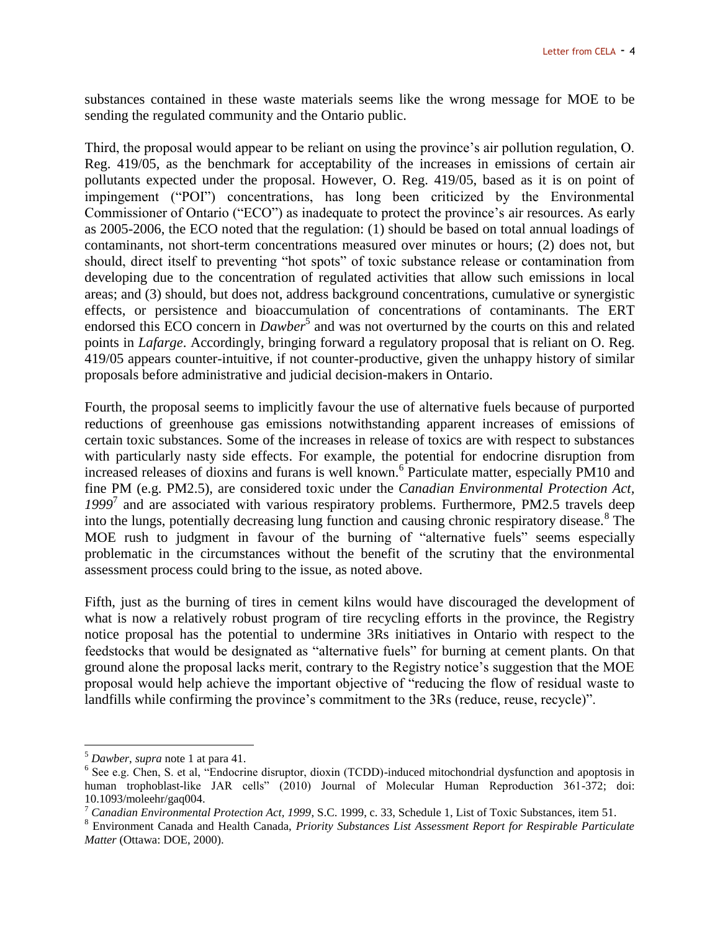substances contained in these waste materials seems like the wrong message for MOE to be sending the regulated community and the Ontario public.

Third, the proposal would appear to be reliant on using the province's air pollution regulation, O. Reg. 419/05, as the benchmark for acceptability of the increases in emissions of certain air pollutants expected under the proposal. However, O. Reg. 419/05, based as it is on point of impingement ("POI") concentrations, has long been criticized by the Environmental Commissioner of Ontario ("ECO") as inadequate to protect the province's air resources. As early as 2005-2006, the ECO noted that the regulation: (1) should be based on total annual loadings of contaminants, not short-term concentrations measured over minutes or hours; (2) does not, but should, direct itself to preventing "hot spots" of toxic substance release or contamination from developing due to the concentration of regulated activities that allow such emissions in local areas; and (3) should, but does not, address background concentrations, cumulative or synergistic effects, or persistence and bioaccumulation of concentrations of contaminants. The ERT endorsed this ECO concern in *Dawber*<sup>5</sup> and was not overturned by the courts on this and related points in *Lafarge*. Accordingly, bringing forward a regulatory proposal that is reliant on O. Reg. 419/05 appears counter-intuitive, if not counter-productive, given the unhappy history of similar proposals before administrative and judicial decision-makers in Ontario.

Fourth, the proposal seems to implicitly favour the use of alternative fuels because of purported reductions of greenhouse gas emissions notwithstanding apparent increases of emissions of certain toxic substances. Some of the increases in release of toxics are with respect to substances with particularly nasty side effects. For example, the potential for endocrine disruption from increased releases of dioxins and furans is well known.<sup>6</sup> Particulate matter, especially PM10 and fine PM (e.g. PM2.5), are considered toxic under the *Canadian Environmental Protection Act,*  1999<sup>7</sup> and are associated with various respiratory problems. Furthermore, PM2.5 travels deep into the lungs, potentially decreasing lung function and causing chronic respiratory disease.<sup>8</sup> The MOE rush to judgment in favour of the burning of "alternative fuels" seems especially problematic in the circumstances without the benefit of the scrutiny that the environmental assessment process could bring to the issue, as noted above.

Fifth, just as the burning of tires in cement kilns would have discouraged the development of what is now a relatively robust program of tire recycling efforts in the province, the Registry notice proposal has the potential to undermine 3Rs initiatives in Ontario with respect to the feedstocks that would be designated as "alternative fuels" for burning at cement plants. On that ground alone the proposal lacks merit, contrary to the Registry notice's suggestion that the MOE proposal would help achieve the important objective of "reducing the flow of residual waste to landfills while confirming the province's commitment to the 3Rs (reduce, reuse, recycle)".

 $\overline{a}$ 

<sup>5</sup> *Dawber*, *supra* note 1 at para 41.

<sup>&</sup>lt;sup>6</sup> See e.g. Chen, S. et al, "Endocrine disruptor, dioxin (TCDD)-induced mitochondrial dysfunction and apoptosis in human trophoblast-like JAR cells" (2010) Journal of Molecular Human Reproduction 361-372; doi: 10.1093/moleehr/gaq004.

<sup>7</sup> *Canadian Environmental Protection Act, 1999*, S.C. 1999, c. 33, Schedule 1, List of Toxic Substances, item 51.

<sup>8</sup> Environment Canada and Health Canada, *Priority Substances List Assessment Report for Respirable Particulate Matter* (Ottawa: DOE, 2000).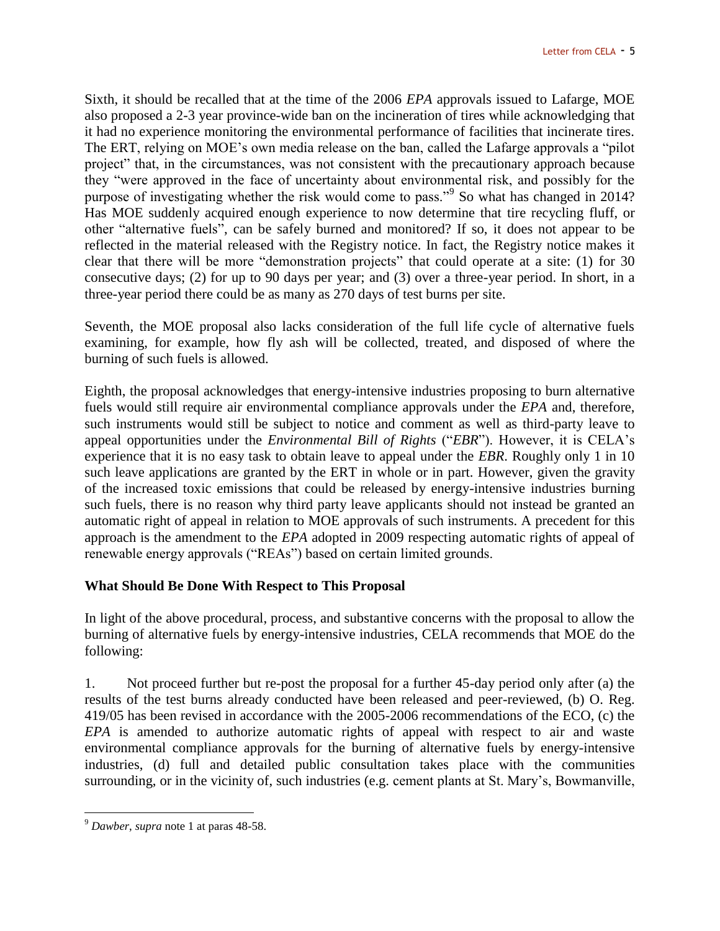Sixth, it should be recalled that at the time of the 2006 *EPA* approvals issued to Lafarge, MOE also proposed a 2-3 year province-wide ban on the incineration of tires while acknowledging that it had no experience monitoring the environmental performance of facilities that incinerate tires. The ERT, relying on MOE's own media release on the ban, called the Lafarge approvals a "pilot project" that, in the circumstances, was not consistent with the precautionary approach because they "were approved in the face of uncertainty about environmental risk, and possibly for the purpose of investigating whether the risk would come to pass."<sup>9</sup> So what has changed in 2014? Has MOE suddenly acquired enough experience to now determine that tire recycling fluff, or other "alternative fuels", can be safely burned and monitored? If so, it does not appear to be reflected in the material released with the Registry notice. In fact, the Registry notice makes it clear that there will be more "demonstration projects" that could operate at a site: (1) for 30 consecutive days; (2) for up to 90 days per year; and (3) over a three-year period. In short, in a three-year period there could be as many as 270 days of test burns per site.

Seventh, the MOE proposal also lacks consideration of the full life cycle of alternative fuels examining, for example, how fly ash will be collected, treated, and disposed of where the burning of such fuels is allowed.

Eighth, the proposal acknowledges that energy-intensive industries proposing to burn alternative fuels would still require air environmental compliance approvals under the *EPA* and, therefore, such instruments would still be subject to notice and comment as well as third-party leave to appeal opportunities under the *Environmental Bill of Rights* ("*EBR*"). However, it is CELA's experience that it is no easy task to obtain leave to appeal under the *EBR*. Roughly only 1 in 10 such leave applications are granted by the ERT in whole or in part. However, given the gravity of the increased toxic emissions that could be released by energy-intensive industries burning such fuels, there is no reason why third party leave applicants should not instead be granted an automatic right of appeal in relation to MOE approvals of such instruments. A precedent for this approach is the amendment to the *EPA* adopted in 2009 respecting automatic rights of appeal of renewable energy approvals ("REAs") based on certain limited grounds.

#### **What Should Be Done With Respect to This Proposal**

In light of the above procedural, process, and substantive concerns with the proposal to allow the burning of alternative fuels by energy-intensive industries, CELA recommends that MOE do the following:

1. Not proceed further but re-post the proposal for a further 45-day period only after (a) the results of the test burns already conducted have been released and peer-reviewed, (b) O. Reg. 419/05 has been revised in accordance with the 2005-2006 recommendations of the ECO, (c) the *EPA* is amended to authorize automatic rights of appeal with respect to air and waste environmental compliance approvals for the burning of alternative fuels by energy-intensive industries, (d) full and detailed public consultation takes place with the communities surrounding, or in the vicinity of, such industries (e.g. cement plants at St. Mary's, Bowmanville,

 $\overline{a}$ <sup>9</sup> *Dawber*, *supra* note 1 at paras 48-58.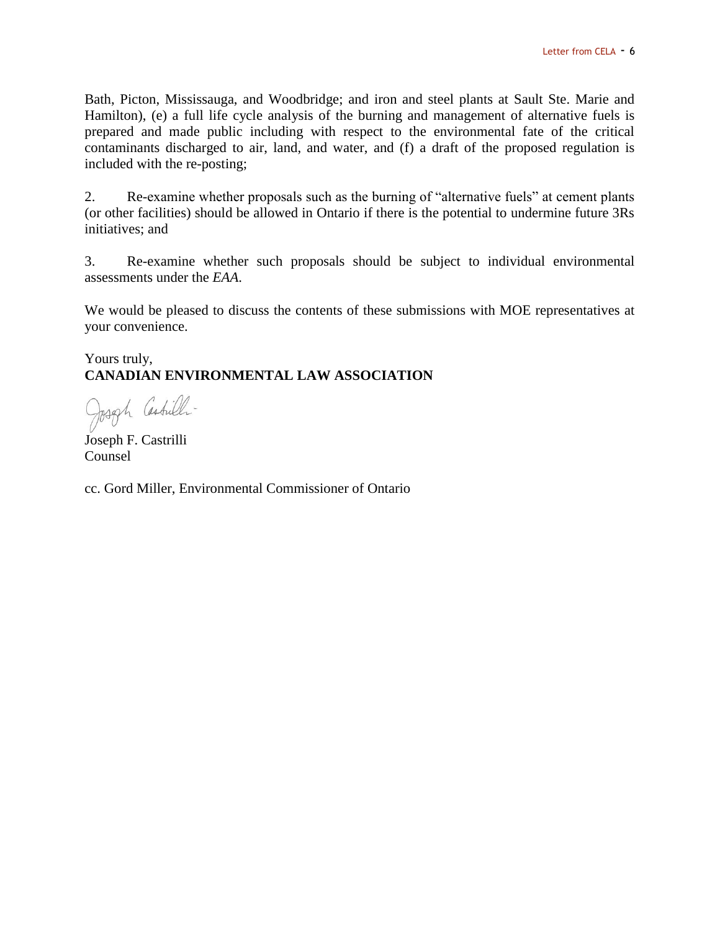Bath, Picton, Mississauga, and Woodbridge; and iron and steel plants at Sault Ste. Marie and Hamilton), (e) a full life cycle analysis of the burning and management of alternative fuels is prepared and made public including with respect to the environmental fate of the critical contaminants discharged to air, land, and water, and (f) a draft of the proposed regulation is included with the re-posting;

2. Re-examine whether proposals such as the burning of "alternative fuels" at cement plants (or other facilities) should be allowed in Ontario if there is the potential to undermine future 3Rs initiatives; and

3. Re-examine whether such proposals should be subject to individual environmental assessments under the *EAA*.

We would be pleased to discuss the contents of these submissions with MOE representatives at your convenience.

Yours truly, **CANADIAN ENVIRONMENTAL LAW ASSOCIATION**

Joseph Castilli-

Joseph F. Castrilli Counsel

cc. Gord Miller, Environmental Commissioner of Ontario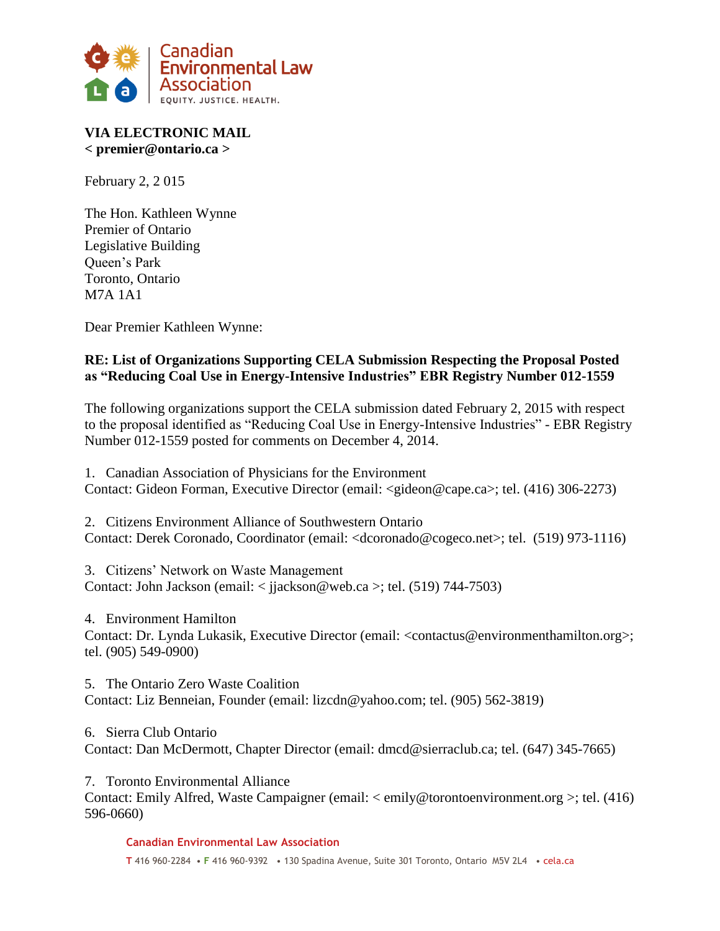

# **VIA ELECTRONIC MAIL < premier@ontario.ca >**

February 2, 2 015

The Hon. Kathleen Wynne Premier of Ontario Legislative Building Queen's Park Toronto, Ontario M7A 1A1

Dear Premier Kathleen Wynne:

# **RE: List of Organizations Supporting CELA Submission Respecting the Proposal Posted as "Reducing Coal Use in Energy-Intensive Industries" EBR Registry Number 012-1559**

The following organizations support the CELA submission dated February 2, 2015 with respect to the proposal identified as "Reducing Coal Use in Energy-Intensive Industries" - EBR Registry Number 012-1559 posted for comments on December 4, 2014.

1. Canadian Association of Physicians for the Environment Contact: Gideon Forman, Executive Director (email: <gideon@cape.ca>; tel. (416) 306-2273)

2. Citizens Environment Alliance of Southwestern Ontario Contact: Derek Coronado, Coordinator (email: <dcoronado@cogeco.net>; tel. (519) 973-1116)

3. Citizens' Network on Waste Management Contact: John Jackson (email: < jjackson@web.ca >; tel. (519) 744-7503)

4. Environment Hamilton Contact: Dr. Lynda Lukasik, Executive Director (email: <contactus@environmenthamilton.org>; tel. (905) 549-0900)

5. The Ontario Zero Waste Coalition Contact: Liz Benneian, Founder (email: lizcdn@yahoo.com; tel. (905) 562-3819)

6. Sierra Club Ontario Contact: Dan McDermott, Chapter Director (email: dmcd@sierraclub.ca; tel. (647) 345-7665)

7. Toronto Environmental Alliance

Contact: Emily Alfred, Waste Campaigner (email: < emily@torontoenvironment.org >; tel. (416) 596-0660)

**Canadian Environmental Law Association**

**T** 416 960-2284 • **F** 416 960-9392 • 130 Spadina Avenue, Suite 301 Toronto, Ontario M5V 2L4 • cela.ca